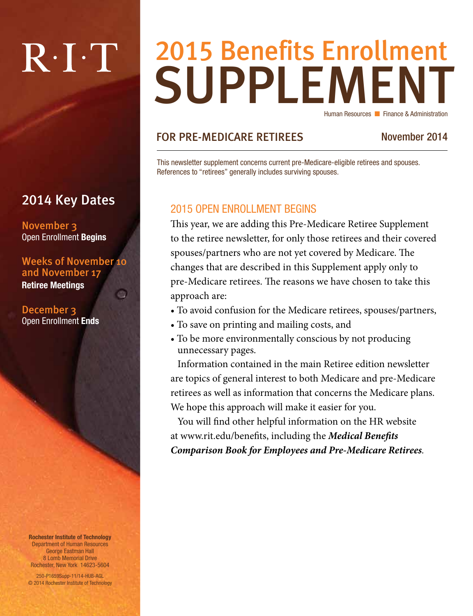# $R \cdot I \cdot T$

### 2014 Key Dates

November 3 Open Enrollment Begins

Weeks of November 10 and November 17 Retiree Meetings an

December 3 Open Enrollment Ends

Rochester Institute of Technology Department of Human Resources George Eastman Hall 8 Lomb Memorial Drive Rochester, New York 14623-5604 250-P1659Supp-11/14-HUB-AGL © 2014 Rochester Institute of Technology

## **SUPPLEMENT** 2015 Benefits Enrollment Human Resources **n** Finance & Administration

#### FOR PRE-MEDICARE RETIREES November 2014

This newsletter supplement concerns current pre-Medicare-eligible retirees and spouses. References to "retirees" generally includes surviving spouses.

#### 2015 OPEN ENROLLMENT BEGINS

This year, we are adding this Pre-Medicare Retiree Supplement to the retiree newsletter, for only those retirees and their covered spouses/partners who are not yet covered by Medicare. The changes that are described in this Supplement apply only to pre-Medicare retirees. The reasons we have chosen to take this approach are:

- To avoid confusion for the Medicare retirees, spouses/partners,
- To save on printing and mailing costs, and
- To be more environmentally conscious by not producing unnecessary pages.

Information contained in the main Retiree edition newsletter are topics of general interest to both Medicare and pre-Medicare retirees as well as information that concerns the Medicare plans. We hope this approach will make it easier for you.

You will find other helpful information on the HR website at www.rit.edu/benefits, including the *Medical Benefits Comparison Book for Employees and Pre-Medicare Retirees.*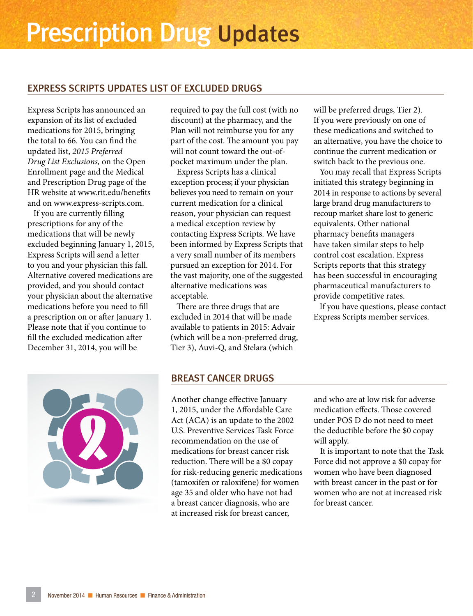#### EXPRESS SCRIPTS UPDATES LIST OF EXCLUDED DRUGS

Express Scripts has announced an expansion of its list of excluded medications for 2015, bringing the total to 66. You can find the updated list, *2015 Preferred Drug List Exclusions,* on the Open Enrollment page and the Medical and Prescription Drug page of the HR website at www.rit.edu/benefits and on www.express-scripts.com.

If you are currently filling prescriptions for any of the medications that will be newly excluded beginning January 1, 2015, Express Scripts will send a letter to you and your physician this fall. Alternative covered medications are provided, and you should contact your physician about the alternative medications before you need to fill a prescription on or after January 1. Please note that if you continue to fill the excluded medication after December 31, 2014, you will be

required to pay the full cost (with no discount) at the pharmacy, and the Plan will not reimburse you for any part of the cost. The amount you pay will not count toward the out-ofpocket maximum under the plan.

Express Scripts has a clinical exception process; if your physician believes you need to remain on your current medication for a clinical reason, your physician can request a medical exception review by contacting Express Scripts. We have been informed by Express Scripts that a very small number of its members pursued an exception for 2014. For the vast majority, one of the suggested alternative medications was acceptable.

There are three drugs that are excluded in 2014 that will be made available to patients in 2015: Advair (which will be a non-preferred drug, Tier 3), Auvi-Q, and Stelara (which

will be preferred drugs, Tier 2). If you were previously on one of these medications and switched to an alternative, you have the choice to continue the current medication or switch back to the previous one.

You may recall that Express Scripts initiated this strategy beginning in 2014 in response to actions by several large brand drug manufacturers to recoup market share lost to generic equivalents. Other national pharmacy benefits managers have taken similar steps to help control cost escalation. Express Scripts reports that this strategy has been successful in encouraging pharmaceutical manufacturers to provide competitive rates.

If you have questions, please contact Express Scripts member services.



#### BREAST CANCER DRUGS

Another change effective January 1, 2015, under the Affordable Care Act (ACA) is an update to the 2002 U.S. Preventive Services Task Force recommendation on the use of medications for breast cancer risk reduction. There will be a \$0 copay for risk-reducing generic medications (tamoxifen or raloxifene) for women age 35 and older who have not had a breast cancer diagnosis, who are at increased risk for breast cancer,

and who are at low risk for adverse medication effects. Those covered under POS D do not need to meet the deductible before the \$0 copay will apply.

It is important to note that the Task Force did not approve a \$0 copay for women who have been diagnosed with breast cancer in the past or for women who are not at increased risk for breast cancer.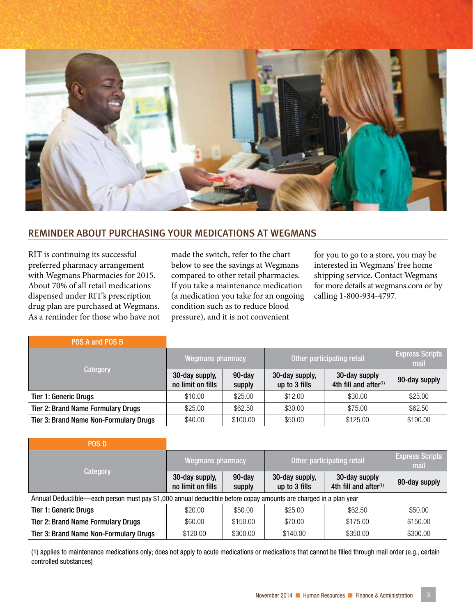

#### REMINDER ABOUT PURCHASING YOUR MEDICATIONS AT WEGMANS

RIT is continuing its successful preferred pharmacy arrangement with Wegmans Pharmacies for 2015. About 70% of all retail medications dispensed under RIT's prescription drug plan are purchased at Wegmans. As a reminder for those who have not made the switch, refer to the chart below to see the savings at Wegmans compared to other retail pharmacies. If you take a maintenance medication (a medication you take for an ongoing condition such as to reduce blood pressure), and it is not convenient

for you to go to a store, you may be interested in Wegmans' free home shipping service. Contact Wegmans for more details at wegmans.com or by calling 1-800-934-4797.

| POS A and POS B                               |                                     |                  |                                 |                                                    |                                |
|-----------------------------------------------|-------------------------------------|------------------|---------------------------------|----------------------------------------------------|--------------------------------|
| Category                                      | Wegmans pharmacy                    |                  | Other participating retail      |                                                    | <b>Express Scripts</b><br>mail |
|                                               | 30-day supply,<br>no limit on fills | 90-day<br>supply | 30-day supply,<br>up to 3 fills | 30-day supply<br>4th fill and after <sup>(1)</sup> | 90-day supply                  |
| <b>Tier 1: Generic Drugs</b>                  | \$10.00                             | \$25.00          | \$12.00                         | \$30.00                                            | \$25.00                        |
| <b>Tier 2: Brand Name Formulary Drugs</b>     | \$25.00                             | \$62.50          | \$30.00                         | \$75.00                                            | \$62.50                        |
| <b>Tier 3: Brand Name Non-Formulary Drugs</b> | \$40.00                             | \$100.00         | \$50.00                         | \$125.00                                           | \$100.00                       |

| <b>POS D</b>                                                                                                     |                                     |                     |                                 |                                                    |                                |  |  |  |  |
|------------------------------------------------------------------------------------------------------------------|-------------------------------------|---------------------|---------------------------------|----------------------------------------------------|--------------------------------|--|--|--|--|
| <b>Category</b>                                                                                                  | <b>Wegmans pharmacy</b>             |                     | Other participating retail      |                                                    | <b>Express Scripts</b><br>mail |  |  |  |  |
|                                                                                                                  | 30-day supply,<br>no limit on fills | $90$ -day<br>supply | 30-day supply,<br>up to 3 fills | 30-day supply<br>4th fill and after <sup>(1)</sup> | 90-day supply                  |  |  |  |  |
| Annual Deductible—each person must pay \$1,000 annual deductible before copay amounts are charged in a plan year |                                     |                     |                                 |                                                    |                                |  |  |  |  |
| <b>Tier 1: Generic Drugs</b>                                                                                     | \$20.00                             | \$50.00             | \$25.00                         | \$62.50                                            | \$50.00                        |  |  |  |  |
| <b>Tier 2: Brand Name Formulary Drugs</b>                                                                        | \$60.00                             | \$150.00            | \$70.00                         | \$175.00                                           | \$150.00                       |  |  |  |  |
| <b>Tier 3: Brand Name Non-Formulary Drugs</b>                                                                    | \$120.00                            | \$300.00            | \$140.00                        | \$350.00                                           | \$300.00                       |  |  |  |  |

(1) applies to maintenance medications only; does not apply to acute medications or medications that cannot be filled through mail order (e.g., certain controlled substances)